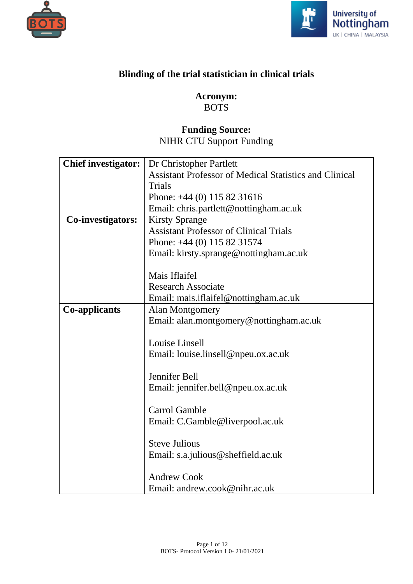



# **Blinding of the trial statistician in clinical trials**

**Acronym:** BOTS

# **Funding Source:**  NIHR CTU Support Funding

| <b>Chief investigator:</b> | Dr Christopher Partlett                                       |
|----------------------------|---------------------------------------------------------------|
|                            | <b>Assistant Professor of Medical Statistics and Clinical</b> |
|                            | <b>Trials</b>                                                 |
|                            | Phone: $+44$ (0) 115 82 31616                                 |
|                            | Email: chris.partlett@nottingham.ac.uk                        |
| Co-investigators:          | <b>Kirsty Sprange</b>                                         |
|                            | <b>Assistant Professor of Clinical Trials</b>                 |
|                            | Phone: $+44$ (0) 115 82 31574                                 |
|                            | Email: kirsty.sprange@nottingham.ac.uk                        |
|                            |                                                               |
|                            | Mais Iflaifel                                                 |
|                            | <b>Research Associate</b>                                     |
|                            | Email: mais.iflaifel@nottingham.ac.uk                         |
| <b>Co-applicants</b>       | <b>Alan Montgomery</b>                                        |
|                            | Email: alan.montgomery@nottingham.ac.uk                       |
|                            |                                                               |
|                            | Louise Linsell                                                |
|                            | Email: louise.linsell@npeu.ox.ac.uk                           |
|                            |                                                               |
|                            | Jennifer Bell                                                 |
|                            | Email: jennifer.bell@npeu.ox.ac.uk                            |
|                            |                                                               |
|                            | <b>Carrol Gamble</b>                                          |
|                            | Email: C.Gamble@liverpool.ac.uk                               |
|                            |                                                               |
|                            | <b>Steve Julious</b>                                          |
|                            | Email: s.a.julious@sheffield.ac.uk                            |
|                            |                                                               |
|                            | <b>Andrew Cook</b>                                            |
|                            | Email: andrew.cook@nihr.ac.uk                                 |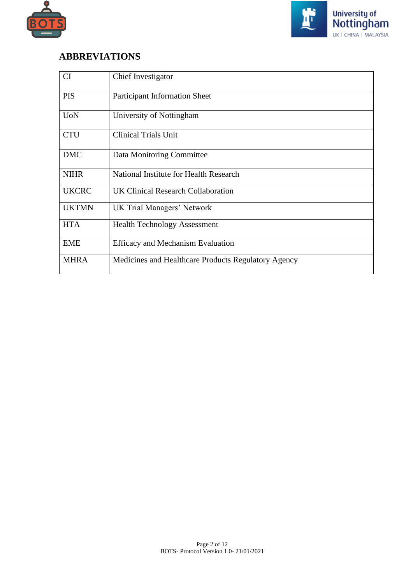



# **ABBREVIATIONS**

| CI           | Chief Investigator                                  |
|--------------|-----------------------------------------------------|
| <b>PIS</b>   | <b>Participant Information Sheet</b>                |
| <b>U</b> oN  | University of Nottingham                            |
| <b>CTU</b>   | <b>Clinical Trials Unit</b>                         |
| <b>DMC</b>   | Data Monitoring Committee                           |
| <b>NIHR</b>  | National Institute for Health Research              |
| <b>UKCRC</b> | UK Clinical Research Collaboration                  |
| <b>UKTMN</b> | UK Trial Managers' Network                          |
| <b>HTA</b>   | <b>Health Technology Assessment</b>                 |
| <b>EME</b>   | <b>Efficacy and Mechanism Evaluation</b>            |
| <b>MHRA</b>  | Medicines and Healthcare Products Regulatory Agency |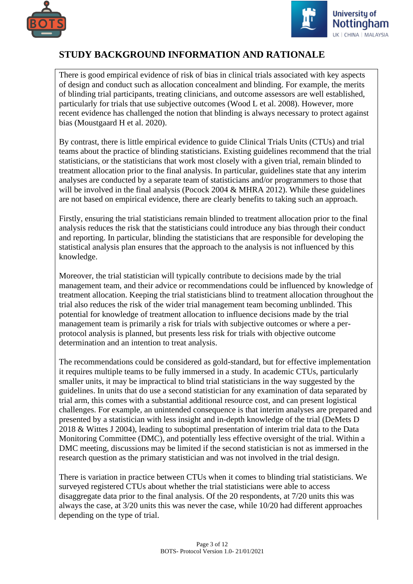



# **STUDY BACKGROUND INFORMATION AND RATIONALE**

There is good empirical evidence of risk of bias in clinical trials associated with key aspects of design and conduct such as allocation concealment and blinding. For example, the merits of blinding trial participants, treating clinicians, and outcome assessors are well established, particularly for trials that use subjective outcomes (Wood L et al. 2008). However, more recent evidence has challenged the notion that blinding is always necessary to protect against bias (Moustgaard H et al. 2020).

By contrast, there is little empirical evidence to guide Clinical Trials Units (CTUs) and trial teams about the practice of blinding statisticians. Existing guidelines recommend that the trial statisticians, or the statisticians that work most closely with a given trial, remain blinded to treatment allocation prior to the final analysis. In particular, guidelines state that any interim analyses are conducted by a separate team of statisticians and/or programmers to those that will be involved in the final analysis (Pocock 2004 & MHRA 2012). While these guidelines are not based on empirical evidence, there are clearly benefits to taking such an approach.

Firstly, ensuring the trial statisticians remain blinded to treatment allocation prior to the final analysis reduces the risk that the statisticians could introduce any bias through their conduct and reporting. In particular, blinding the statisticians that are responsible for developing the statistical analysis plan ensures that the approach to the analysis is not influenced by this knowledge.

Moreover, the trial statistician will typically contribute to decisions made by the trial management team, and their advice or recommendations could be influenced by knowledge of treatment allocation. Keeping the trial statisticians blind to treatment allocation throughout the trial also reduces the risk of the wider trial management team becoming unblinded. This potential for knowledge of treatment allocation to influence decisions made by the trial management team is primarily a risk for trials with subjective outcomes or where a perprotocol analysis is planned, but presents less risk for trials with objective outcome determination and an intention to treat analysis.

The recommendations could be considered as gold-standard, but for effective implementation it requires multiple teams to be fully immersed in a study. In academic CTUs, particularly smaller units, it may be impractical to blind trial statisticians in the way suggested by the guidelines. In units that do use a second statistician for any examination of data separated by trial arm, this comes with a substantial additional resource cost, and can present logistical challenges. For example, an unintended consequence is that interim analyses are prepared and presented by a statistician with less insight and in-depth knowledge of the trial (DeMets D 2018 & Wittes J 2004), leading to suboptimal presentation of interim trial data to the Data Monitoring Committee (DMC), and potentially less effective oversight of the trial. Within a DMC meeting, discussions may be limited if the second statistician is not as immersed in the research question as the primary statistician and was not involved in the trial design.

There is variation in practice between CTUs when it comes to blinding trial statisticians. We surveyed registered CTUs about whether the trial statisticians were able to access disaggregate data prior to the final analysis. Of the 20 respondents, at 7/20 units this was always the case, at 3/20 units this was never the case, while 10/20 had different approaches depending on the type of trial.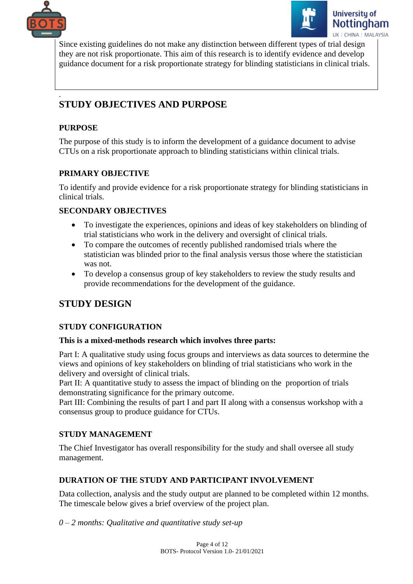



Since existing guidelines do not make any distinction between different types of trial design they are not risk proportionate. This aim of this research is to identify evidence and develop guidance document for a risk proportionate strategy for blinding statisticians in clinical trials.

### . **STUDY OBJECTIVES AND PURPOSE**

## **PURPOSE**

The purpose of this study is to inform the development of a guidance document to advise CTUs on a risk proportionate approach to blinding statisticians within clinical trials.

## **PRIMARY OBJECTIVE**

To identify and provide evidence for a risk proportionate strategy for blinding statisticians in clinical trials.

## **SECONDARY OBJECTIVES**

- To investigate the experiences, opinions and ideas of key stakeholders on blinding of trial statisticians who work in the delivery and oversight of clinical trials.
- To compare the outcomes of recently published randomised trials where the statistician was blinded prior to the final analysis versus those where the statistician was not.
- To develop a consensus group of key stakeholders to review the study results and provide recommendations for the development of the guidance.

# **STUDY DESIGN**

## **STUDY CONFIGURATION**

### **This is a mixed-methods research which involves three parts:**

Part I: A qualitative study using focus groups and interviews as data sources to determine the views and opinions of key stakeholders on blinding of trial statisticians who work in the delivery and oversight of clinical trials.

Part II: A quantitative study to assess the impact of blinding on the proportion of trials demonstrating significance for the primary outcome.

Part III: Combining the results of part I and part II along with a consensus workshop with a consensus group to produce guidance for CTUs.

## **STUDY MANAGEMENT**

The Chief Investigator has overall responsibility for the study and shall oversee all study management.

## **DURATION OF THE STUDY AND PARTICIPANT INVOLVEMENT**

Data collection, analysis and the study output are planned to be completed within 12 months. The timescale below gives a brief overview of the project plan.

*0 – 2 months: Qualitative and quantitative study set-up*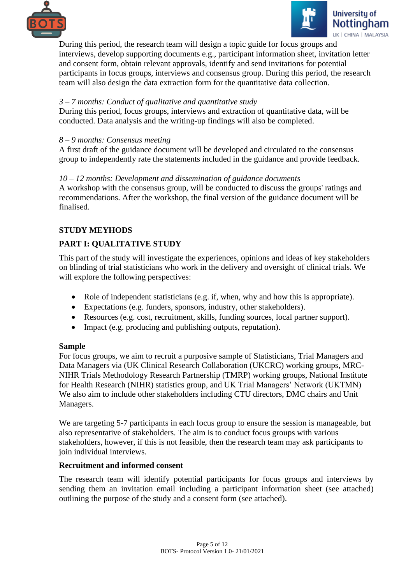



During this period, the research team will design a topic guide for focus groups and interviews, develop supporting documents e.g., participant information sheet, invitation letter and consent form, obtain relevant approvals, identify and send invitations for potential participants in focus groups, interviews and consensus group. During this period, the research team will also design the data extraction form for the quantitative data collection.

## *3 – 7 months: Conduct of qualitative and quantitative study*

During this period, focus groups, interviews and extraction of quantitative data, will be conducted. Data analysis and the writing-up findings will also be completed.

### *8 – 9 months: Consensus meeting*

A first draft of the guidance document will be developed and circulated to the consensus group to independently rate the statements included in the guidance and provide feedback.

### *10 – 12 months: Development and dissemination of guidance documents*

A workshop with the consensus group, will be conducted to discuss the groups' ratings and recommendations. After the workshop, the final version of the guidance document will be finalised.

## **STUDY MEYHODS**

## **PART I: QUALITATIVE STUDY**

This part of the study will investigate the experiences, opinions and ideas of key stakeholders on blinding of trial statisticians who work in the delivery and oversight of clinical trials. We will explore the following perspectives:

- Role of independent statisticians (e.g. if, when, why and how this is appropriate).
- Expectations (e.g. funders, sponsors, industry, other stakeholders).
- Resources (e.g. cost, recruitment, skills, funding sources, local partner support).
- Impact (e.g. producing and publishing outputs, reputation).

### **Sample**

For focus groups, we aim to recruit a purposive sample of Statisticians, Trial Managers and Data Managers via (UK Clinical Research Collaboration (UKCRC) working groups, MRC-NIHR Trials Methodology Research Partnership (TMRP) working groups, National Institute for Health Research (NIHR) statistics group, and UK Trial Managers' Network (UKTMN) We also aim to include other stakeholders including CTU directors, DMC chairs and Unit Managers.

We are targeting 5-7 participants in each focus group to ensure the session is manageable, but also representative of stakeholders. The aim is to conduct focus groups with various stakeholders, however, if this is not feasible, then the research team may ask participants to join individual interviews.

### **Recruitment and informed consent**

The research team will identify potential participants for focus groups and interviews by sending them an invitation email including a participant information sheet (see attached) outlining the purpose of the study and a consent form (see attached).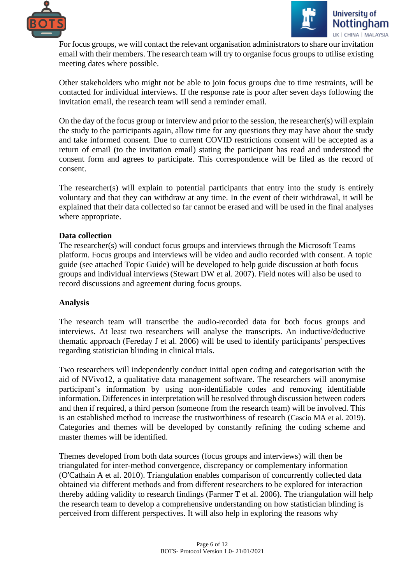



For focus groups, we will contact the relevant organisation administrators to share our invitation email with their members. The research team will try to organise focus groups to utilise existing meeting dates where possible.

Other stakeholders who might not be able to join focus groups due to time restraints, will be contacted for individual interviews. If the response rate is poor after seven days following the invitation email, the research team will send a reminder email.

On the day of the focus group or interview and prior to the session, the researcher(s) will explain the study to the participants again, allow time for any questions they may have about the study and take informed consent. Due to current COVID restrictions consent will be accepted as a return of email (to the invitation email) stating the participant has read and understood the consent form and agrees to participate. This correspondence will be filed as the record of consent.

The researcher(s) will explain to potential participants that entry into the study is entirely voluntary and that they can withdraw at any time. In the event of their withdrawal, it will be explained that their data collected so far cannot be erased and will be used in the final analyses where appropriate.

### **Data collection**

The researcher(s) will conduct focus groups and interviews through the Microsoft Teams platform. Focus groups and interviews will be video and audio recorded with consent. A topic guide (see attached Topic Guide) will be developed to help guide discussion at both focus groups and individual interviews (Stewart DW et al. 2007). Field notes will also be used to record discussions and agreement during focus groups.

### **Analysis**

The research team will transcribe the audio-recorded data for both focus groups and interviews. At least two researchers will analyse the transcripts. An inductive/deductive thematic approach (Fereday J et al. 2006) will be used to identify participants' perspectives regarding statistician blinding in clinical trials.

Two researchers will independently conduct initial open coding and categorisation with the aid of NVivo12, a qualitative data management software. The researchers will anonymise participant's information by using non-identifiable codes and removing identifiable information. Differences in interpretation will be resolved through discussion between coders and then if required, a third person (someone from the research team) will be involved. This is an established method to increase the trustworthiness of research (Cascio MA et al. 2019). Categories and themes will be developed by constantly refining the coding scheme and master themes will be identified.

Themes developed from both data sources (focus groups and interviews) will then be triangulated for inter-method convergence, discrepancy or complementary information (O'Cathain A et al. 2010). Triangulation enables comparison of concurrently collected data obtained via different methods and from different researchers to be explored for interaction thereby adding validity to research findings (Farmer T et al. 2006). The triangulation will help the research team to develop a comprehensive understanding on how statistician blinding is perceived from different perspectives. It will also help in exploring the reasons why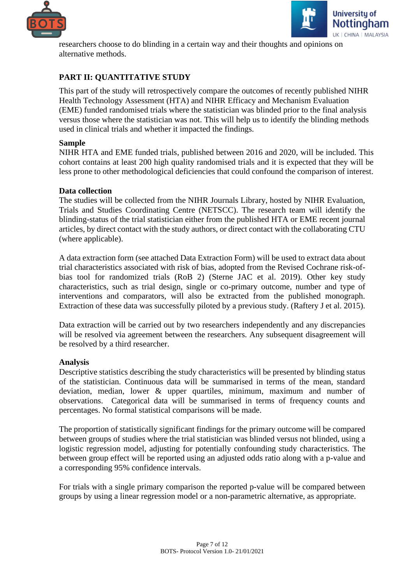



researchers choose to do blinding in a certain way and their thoughts and opinions on alternative methods.

## **PART II: QUANTITATIVE STUDY**

This part of the study will retrospectively compare the outcomes of recently published NIHR Health Technology Assessment (HTA) and NIHR Efficacy and Mechanism Evaluation (EME) funded randomised trials where the statistician was blinded prior to the final analysis versus those where the statistician was not. This will help us to identify the blinding methods used in clinical trials and whether it impacted the findings.

### **Sample**

NIHR HTA and EME funded trials, published between 2016 and 2020, will be included. This cohort contains at least 200 high quality randomised trials and it is expected that they will be less prone to other methodological deficiencies that could confound the comparison of interest.

#### **Data collection**

The studies will be collected from the NIHR Journals Library, hosted by NIHR Evaluation, Trials and Studies Coordinating Centre (NETSCC). The research team will identify the blinding-status of the trial statistician either from the published HTA or EME recent journal articles, by direct contact with the study authors, or direct contact with the collaborating CTU (where applicable).

A data extraction form (see attached Data Extraction Form) will be used to extract data about trial characteristics associated with risk of bias, adopted from the Revised Cochrane risk-ofbias tool for randomized trials (RoB 2) (Sterne JAC et al. 2019). Other key study characteristics, such as trial design, single or co-primary outcome, number and type of interventions and comparators, will also be extracted from the published monograph. Extraction of these data was successfully piloted by a previous study. (Raftery J et al. 2015).

Data extraction will be carried out by two researchers independently and any discrepancies will be resolved via agreement between the researchers. Any subsequent disagreement will be resolved by a third researcher.

### **Analysis**

Descriptive statistics describing the study characteristics will be presented by blinding status of the statistician. Continuous data will be summarised in terms of the mean, standard deviation, median, lower & upper quartiles, minimum, maximum and number of observations. Categorical data will be summarised in terms of frequency counts and percentages. No formal statistical comparisons will be made.

The proportion of statistically significant findings for the primary outcome will be compared between groups of studies where the trial statistician was blinded versus not blinded, using a logistic regression model, adjusting for potentially confounding study characteristics. The between group effect will be reported using an adjusted odds ratio along with a p-value and a corresponding 95% confidence intervals.

For trials with a single primary comparison the reported p-value will be compared between groups by using a linear regression model or a non-parametric alternative, as appropriate.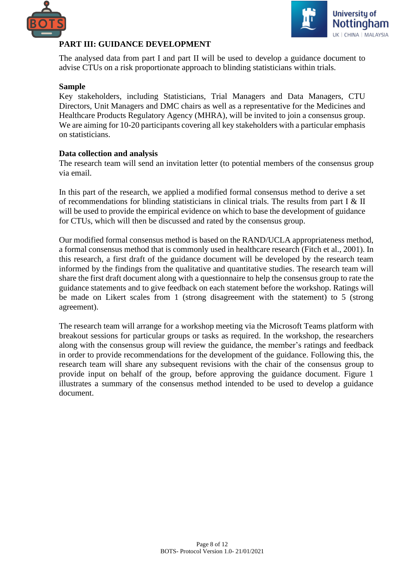



# **PART III: GUIDANCE DEVELOPMENT**

The analysed data from part I and part II will be used to develop a guidance document to advise CTUs on a risk proportionate approach to blinding statisticians within trials.

## **Sample**

Key stakeholders, including Statisticians, Trial Managers and Data Managers, CTU Directors, Unit Managers and DMC chairs as well as a representative for the Medicines and Healthcare Products Regulatory Agency (MHRA), will be invited to join a consensus group. We are aiming for 10-20 participants covering all key stakeholders with a particular emphasis on statisticians.

### **Data collection and analysis**

The research team will send an invitation letter (to potential members of the consensus group via email.

In this part of the research, we applied a modified formal consensus method to derive a set of recommendations for blinding statisticians in clinical trials. The results from part I & II will be used to provide the empirical evidence on which to base the development of guidance for CTUs, which will then be discussed and rated by the consensus group.

Our modified formal consensus method is based on the RAND/UCLA appropriateness method, a formal consensus method that is commonly used in healthcare research (Fitch et al., 2001). In this research, a first draft of the guidance document will be developed by the research team informed by the findings from the qualitative and quantitative studies. The research team will share the first draft document along with a questionnaire to help the consensus group to rate the guidance statements and to give feedback on each statement before the workshop. Ratings will be made on Likert scales from 1 (strong disagreement with the statement) to 5 (strong agreement).

The research team will arrange for a workshop meeting via the Microsoft Teams platform with breakout sessions for particular groups or tasks as required. In the workshop, the researchers along with the consensus group will review the guidance, the member's ratings and feedback in order to provide recommendations for the development of the guidance. Following this, the research team will share any subsequent revisions with the chair of the consensus group to provide input on behalf of the group, before approving the guidance document. Figure 1 illustrates a summary of the consensus method intended to be used to develop a guidance document.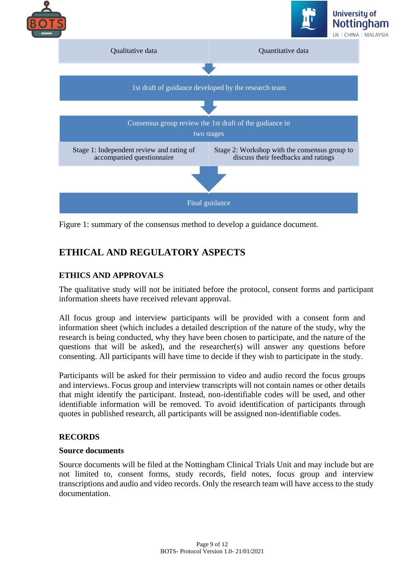

Figure 1: summary of the consensus method to develop a guidance document.

# **ETHICAL AND REGULATORY ASPECTS**

## **ETHICS AND APPROVALS**

The qualitative study will not be initiated before the protocol, consent forms and participant information sheets have received relevant approval.

All focus group and interview participants will be provided with a consent form and information sheet (which includes a detailed description of the nature of the study, why the research is being conducted, why they have been chosen to participate, and the nature of the questions that will be asked), and the researcher(s) will answer any questions before consenting. All participants will have time to decide if they wish to participate in the study.

Participants will be asked for their permission to video and audio record the focus groups and interviews. Focus group and interview transcripts will not contain names or other details that might identify the participant. Instead, non-identifiable codes will be used, and other identifiable information will be removed. To avoid identification of participants through quotes in published research, all participants will be assigned non-identifiable codes.

## **RECORDS**

### **Source documents**

Source documents will be filed at the Nottingham Clinical Trials Unit and may include but are not limited to, consent forms, study records, field notes, focus group and interview transcriptions and audio and video records. Only the research team will have access to the study documentation.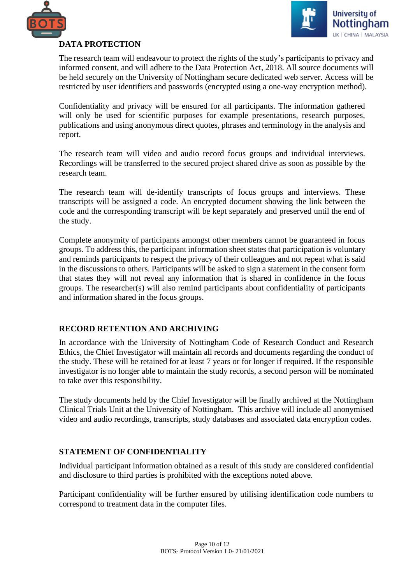



# **DATA PROTECTION**

The research team will endeavour to protect the rights of the study's participants to privacy and informed consent, and will adhere to the Data Protection Act, 2018. All source documents will be held securely on the University of Nottingham secure dedicated web server. Access will be restricted by user identifiers and passwords (encrypted using a one-way encryption method).

Confidentiality and privacy will be ensured for all participants. The information gathered will only be used for scientific purposes for example presentations, research purposes, publications and using anonymous direct quotes, phrases and terminology in the analysis and report.

The research team will video and audio record focus groups and individual interviews. Recordings will be transferred to the secured project shared drive as soon as possible by the research team.

The research team will de-identify transcripts of focus groups and interviews. These transcripts will be assigned a code. An encrypted document showing the link between the code and the corresponding transcript will be kept separately and preserved until the end of the study.

Complete anonymity of participants amongst other members cannot be guaranteed in focus groups. To address this, the participant information sheet states that participation is voluntary and reminds participants to respect the privacy of their colleagues and not repeat what is said in the discussions to others. Participants will be asked to sign a statement in the consent form that states they will not reveal any information that is shared in confidence in the focus groups. The researcher(s) will also remind participants about confidentiality of participants and information shared in the focus groups.

## **RECORD RETENTION AND ARCHIVING**

In accordance with the University of Nottingham Code of Research Conduct and Research Ethics, the Chief Investigator will maintain all records and documents regarding the conduct of the study. These will be retained for at least 7 years or for longer if required. If the responsible investigator is no longer able to maintain the study records, a second person will be nominated to take over this responsibility.

The study documents held by the Chief Investigator will be finally archived at the Nottingham Clinical Trials Unit at the University of Nottingham. This archive will include all anonymised video and audio recordings, transcripts, study databases and associated data encryption codes.

## **STATEMENT OF CONFIDENTIALITY**

Individual participant information obtained as a result of this study are considered confidential and disclosure to third parties is prohibited with the exceptions noted above.

Participant confidentiality will be further ensured by utilising identification code numbers to correspond to treatment data in the computer files.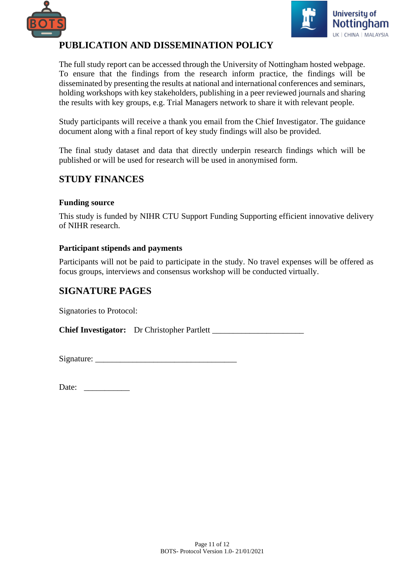



# **PUBLICATION AND DISSEMINATION POLICY**

The full study report can be accessed through the University of Nottingham hosted webpage. To ensure that the findings from the research inform practice, the findings will be disseminated by presenting the results at national and international conferences and seminars, holding workshops with key stakeholders, publishing in a peer reviewed journals and sharing the results with key groups, e.g. Trial Managers network to share it with relevant people.

Study participants will receive a thank you email from the Chief Investigator. The guidance document along with a final report of key study findings will also be provided.

The final study dataset and data that directly underpin research findings which will be published or will be used for research will be used in anonymised form.

# **STUDY FINANCES**

### **Funding source**

This study is funded by NIHR CTU Support Funding Supporting efficient innovative delivery of NIHR research.

### **Participant stipends and payments**

Participants will not be paid to participate in the study. No travel expenses will be offered as focus groups, interviews and consensus workshop will be conducted virtually.

# **SIGNATURE PAGES**

Signatories to Protocol:

**Chief Investigator:** Dr Christopher Partlett

 $Signature:$ 

| Date: |
|-------|
|-------|